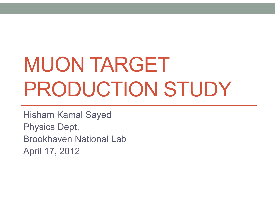# MUON TARGET PRODUCTION STUDY

Hisham Kamal Sayed Physics Dept. Brookhaven National LabApril 17, 2012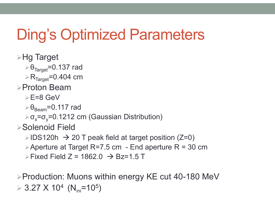## Ding's Optimized Parameters

- Hg Target
	- $\triangleright$   $\Theta_{\sf Target}$ =0.137 rad
	- $\rm \triangleright R_{Target}$ =0.404 cm

#### Proton Beam

- $\geq$  E=8 GeV
- $\triangleright\theta_{\mathsf{Beam}}$ =0.117 rad
- $\triangleright$  σ<sub>χ</sub> =σ<sub>y</sub>=0.1212 cm (Gaussian Distribution)
- Solenoid Field
	- $\triangleright$  IDS120h  $\,\to\,$  20 T peak field at target position (Z=0)
	- Aperture at Target R=7.5 cm End aperture  $R = 30$  cm
	- $\triangleright$  Fixed Field Z = 1862.0  $\,\,\rightarrow$  Bz=1.5 T

**≻Production: Muons within energy KE cut 40-180 MeV**  $>$  3.27 X 10<sup>4</sup> (N<sub>ini</sub>=10<sup>5</sup>) )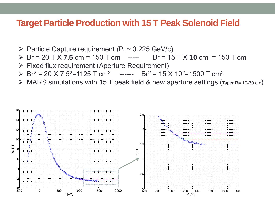#### **Target Particle Production with 15 T Peak Solenoid Field**

- $\triangleright$  Particle Capture requirement (P<sub>t</sub> ~ 0.225 GeV/c)
- Br = 20 T X **7.5** cm = 150 T cm ----- Br = 15 T X **10** cm = 150 T cm
- Fixed flux requirement (Aperture Requirement)
- $\triangleright$  Br<sup>2</sup> = 20 X 7.5<sup>2</sup>=1125 T cm<sup>2</sup> ------ Br<sup>2</sup> = 15 X 10<sup>2</sup>=1500 T cm<sup>2</sup>
- MARS simulations with 15 T peak field & new aperture settings (Taper R= 10-30 cm)

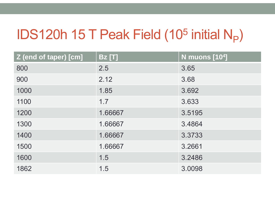#### IDS120h 15 T Peak Field (10 5 initial N P)

| Z (end of taper) [cm] | <b>Bz</b> [T] | <b>N</b> muons [10 <sup>4</sup> ] |
|-----------------------|---------------|-----------------------------------|
| 800                   | 2.5           | 3.65                              |
| 900                   | 2.12          | 3.68                              |
| 1000                  | 1.85          | 3.692                             |
| 1100                  | 1.7           | 3.633                             |
| 1200                  | 1.66667       | 3.5195                            |
| 1300                  | 1.66667       | 3.4864                            |
| 1400                  | 1.66667       | 3.3733                            |
| 1500                  | 1.66667       | 3.2661                            |
| 1600                  | 1.5           | 3.2486                            |
| 1862                  | 1.5           | 3.0098                            |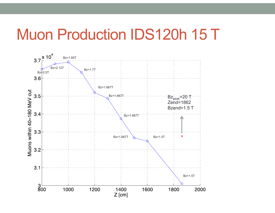### Muon Production IDS120h 15 T